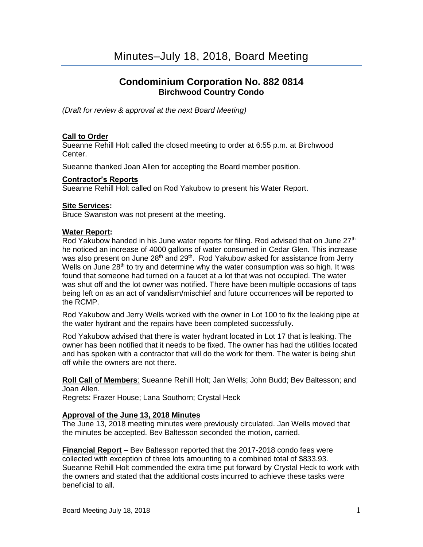# **Condominium Corporation No. 882 0814 [Birchwood](http://www.birchwoodcountrycondo.com/) Country Condo**

*(Draft for review & approval at the next Board Meeting)*

### **Call to Order**

Sueanne Rehill Holt called the closed meeting to order at 6:55 p.m. at Birchwood Center.

Sueanne thanked Joan Allen for accepting the Board member position.

### **Contractor's Reports**

Sueanne Rehill Holt called on Rod Yakubow to present his Water Report.

#### **Site Services:**

Bruce Swanston was not present at the meeting.

### **Water Report:**

Rod Yakubow handed in his June water reports for filing. Rod advised that on June 27<sup>th</sup> he noticed an increase of 4000 gallons of water consumed in Cedar Glen. This increase was also present on June 28<sup>th</sup> and 29<sup>th</sup>. Rod Yakubow asked for assistance from Jerry Wells on June 28<sup>th</sup> to try and determine why the water consumption was so high. It was found that someone had turned on a faucet at a lot that was not occupied. The water was shut off and the lot owner was notified. There have been multiple occasions of taps being left on as an act of vandalism/mischief and future occurrences will be reported to the RCMP.

Rod Yakubow and Jerry Wells worked with the owner in Lot 100 to fix the leaking pipe at the water hydrant and the repairs have been completed successfully.

Rod Yakubow advised that there is water hydrant located in Lot 17 that is leaking. The owner has been notified that it needs to be fixed. The owner has had the utilities located and has spoken with a contractor that will do the work for them. The water is being shut off while the owners are not there.

**Roll Call of Members**: Sueanne Rehill Holt; Jan Wells; John Budd; Bev Baltesson; and Joan Allen.

Regrets: Frazer House; Lana Southorn; Crystal Heck

# **Approval of the June 13, 2018 Minutes**

The June 13, 2018 meeting minutes were previously circulated. Jan Wells moved that the minutes be accepted. Bev Baltesson seconded the motion, carried.

**Financial Report** – Bev Baltesson reported that the 2017-2018 condo fees were collected with exception of three lots amounting to a combined total of \$833.93. Sueanne Rehill Holt commended the extra time put forward by Crystal Heck to work with the owners and stated that the additional costs incurred to achieve these tasks were beneficial to all.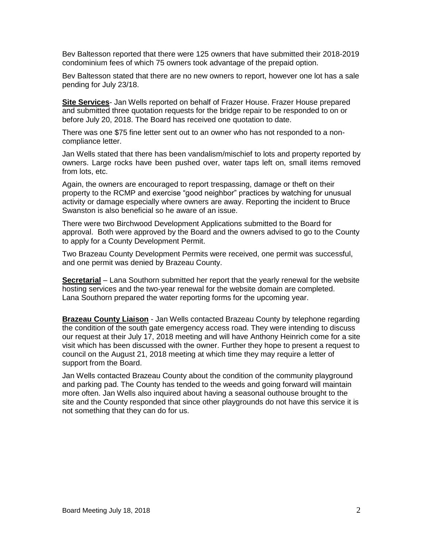Bev Baltesson reported that there were 125 owners that have submitted their 2018-2019 condominium fees of which 75 owners took advantage of the prepaid option.

Bev Baltesson stated that there are no new owners to report, however one lot has a sale pending for July 23/18.

**Site Services**- Jan Wells reported on behalf of Frazer House. Frazer House prepared and submitted three quotation requests for the bridge repair to be responded to on or before July 20, 2018. The Board has received one quotation to date.

There was one \$75 fine letter sent out to an owner who has not responded to a noncompliance letter.

Jan Wells stated that there has been vandalism/mischief to lots and property reported by owners. Large rocks have been pushed over, water taps left on, small items removed from lots, etc.

Again, the owners are encouraged to report trespassing, damage or theft on their property to the RCMP and exercise "good neighbor" practices by watching for unusual activity or damage especially where owners are away. Reporting the incident to Bruce Swanston is also beneficial so he aware of an issue.

There were two Birchwood Development Applications submitted to the Board for approval. Both were approved by the Board and the owners advised to go to the County to apply for a County Development Permit.

Two Brazeau County Development Permits were received, one permit was successful, and one permit was denied by Brazeau County.

**Secretarial** – Lana Southorn submitted her report that the yearly renewal for the website hosting services and the two-year renewal for the website domain are completed. Lana Southorn prepared the water reporting forms for the upcoming year.

**Brazeau County Liaison** - Jan Wells contacted Brazeau County by telephone regarding the condition of the south gate emergency access road. They were intending to discuss our request at their July 17, 2018 meeting and will have Anthony Heinrich come for a site visit which has been discussed with the owner. Further they hope to present a request to council on the August 21, 2018 meeting at which time they may require a letter of support from the Board.

Jan Wells contacted Brazeau County about the condition of the community playground and parking pad. The County has tended to the weeds and going forward will maintain more often. Jan Wells also inquired about having a seasonal outhouse brought to the site and the County responded that since other playgrounds do not have this service it is not something that they can do for us.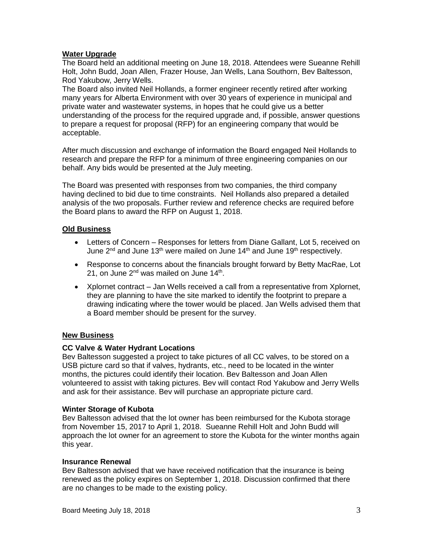# **Water Upgrade**

The Board held an additional meeting on June 18, 2018. Attendees were Sueanne Rehill Holt, John Budd, Joan Allen, Frazer House, Jan Wells, Lana Southorn, Bev Baltesson, Rod Yakubow, Jerry Wells.

The Board also invited Neil Hollands, a former engineer recently retired after working many years for Alberta Environment with over 30 years of experience in municipal and private water and wastewater systems, in hopes that he could give us a better understanding of the process for the required upgrade and, if possible, answer questions to prepare a request for proposal (RFP) for an engineering company that would be acceptable.

After much discussion and exchange of information the Board engaged Neil Hollands to research and prepare the RFP for a minimum of three engineering companies on our behalf. Any bids would be presented at the July meeting.

The Board was presented with responses from two companies, the third company having declined to bid due to time constraints. Neil Hollands also prepared a detailed analysis of the two proposals. Further review and reference checks are required before the Board plans to award the RFP on August 1, 2018.

# **Old Business**

- Letters of Concern Responses for letters from Diane Gallant, Lot 5, received on June  $2^{nd}$  and June 13<sup>th</sup> were mailed on June 14<sup>th</sup> and June 19<sup>th</sup> respectively.
- Response to concerns about the financials brought forward by Betty MacRae, Lot 21, on June 2<sup>nd</sup> was mailed on June 14<sup>th</sup>.
- Xplornet contract Jan Wells received a call from a representative from Xplornet, they are planning to have the site marked to identify the footprint to prepare a drawing indicating where the tower would be placed. Jan Wells advised them that a Board member should be present for the survey.

# **New Business**

# **CC Valve & Water Hydrant Locations**

Bev Baltesson suggested a project to take pictures of all CC valves, to be stored on a USB picture card so that if valves, hydrants, etc., need to be located in the winter months, the pictures could identify their location. Bev Baltesson and Joan Allen volunteered to assist with taking pictures. Bev will contact Rod Yakubow and Jerry Wells and ask for their assistance. Bev will purchase an appropriate picture card.

#### **Winter Storage of Kubota**

Bev Baltesson advised that the lot owner has been reimbursed for the Kubota storage from November 15, 2017 to April 1, 2018. Sueanne Rehill Holt and John Budd will approach the lot owner for an agreement to store the Kubota for the winter months again this year.

#### **Insurance Renewal**

Bev Baltesson advised that we have received notification that the insurance is being renewed as the policy expires on September 1, 2018. Discussion confirmed that there are no changes to be made to the existing policy.